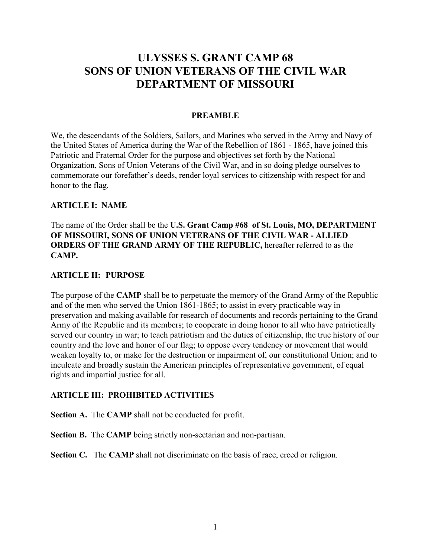# **ULYSSES S. GRANT CAMP 68 SONS OF UNION VETERANS OF THE CIVIL WAR DEPARTMENT OF MISSOURI**

#### **PREAMBLE**

We, the descendants of the Soldiers, Sailors, and Marines who served in the Army and Navy of the United States of America during the War of the Rebellion of 1861 - 1865, have joined this Patriotic and Fraternal Order for the purpose and objectives set forth by the National Organization, Sons of Union Veterans of the Civil War, and in so doing pledge ourselves to commemorate our forefather's deeds, render loyal services to citizenship with respect for and honor to the flag.

#### **ARTICLE I: NAME**

The name of the Order shall be the **U.S. Grant Camp #68 of St. Louis, MO, DEPARTMENT OF MISSOURI, SONS OF UNION VETERANS OF THE CIVIL WAR - ALLIED ORDERS OF THE GRAND ARMY OF THE REPUBLIC,** hereafter referred to as the **CAMP.**

#### **ARTICLE II: PURPOSE**

The purpose of the **CAMP** shall be to perpetuate the memory of the Grand Army of the Republic and of the men who served the Union 1861-1865; to assist in every practicable way in preservation and making available for research of documents and records pertaining to the Grand Army of the Republic and its members; to cooperate in doing honor to all who have patriotically served our country in war; to teach patriotism and the duties of citizenship, the true history of our country and the love and honor of our flag; to oppose every tendency or movement that would weaken loyalty to, or make for the destruction or impairment of, our constitutional Union; and to inculcate and broadly sustain the American principles of representative government, of equal rights and impartial justice for all.

#### **ARTICLE III: PROHIBITED ACTIVITIES**

**Section A.** The **CAMP** shall not be conducted for profit.

**Section B.** The **CAMP** being strictly non-sectarian and non-partisan.

**Section C.** The **CAMP** shall not discriminate on the basis of race, creed or religion.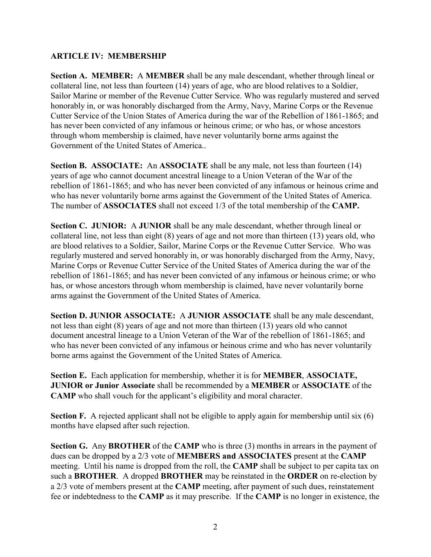#### **ARTICLE IV: MEMBERSHIP**

**Section A. MEMBER:** A **MEMBER** shall be any male descendant, whether through lineal or collateral line, not less than fourteen (14) years of age, who are blood relatives to a Soldier, Sailor Marine or member of the Revenue Cutter Service. Who was regularly mustered and served honorably in, or was honorably discharged from the Army, Navy, Marine Corps or the Revenue Cutter Service of the Union States of America during the war of the Rebellion of 1861-1865; and has never been convicted of any infamous or heinous crime; or who has, or whose ancestors through whom membership is claimed, have never voluntarily borne arms against the Government of the United States of America..

**Section B. ASSOCIATE:** An **ASSOCIATE** shall be any male, not less than fourteen (14) years of age who cannot document ancestral lineage to a Union Veteran of the War of the rebellion of 1861-1865; and who has never been convicted of any infamous or heinous crime and who has never voluntarily borne arms against the Government of the United States of America. The number of **ASSOCIATES** shall not exceed 1/3 of the total membership of the **CAMP.**

**Section C. JUNIOR:** A **JUNIOR** shall be any male descendant, whether through lineal or collateral line, not less than eight (8) years of age and not more than thirteen (13) years old, who are blood relatives to a Soldier, Sailor, Marine Corps or the Revenue Cutter Service. Who was regularly mustered and served honorably in, or was honorably discharged from the Army, Navy, Marine Corps or Revenue Cutter Service of the United States of America during the war of the rebellion of 1861-1865; and has never been convicted of any infamous or heinous crime; or who has, or whose ancestors through whom membership is claimed, have never voluntarily borne arms against the Government of the United States of America.

**Section D. JUNIOR ASSOCIATE:** A **JUNIOR ASSOCIATE** shall be any male descendant, not less than eight (8) years of age and not more than thirteen (13) years old who cannot document ancestral lineage to a Union Veteran of the War of the rebellion of 1861-1865; and who has never been convicted of any infamous or heinous crime and who has never voluntarily borne arms against the Government of the United States of America.

**Section E.** Each application for membership, whether it is for **MEMBER**, **ASSOCIATE, JUNIOR or Junior Associate** shall be recommended by a **MEMBER** or **ASSOCIATE** of the **CAMP** who shall vouch for the applicant's eligibility and moral character.

**Section F.** A rejected applicant shall not be eligible to apply again for membership until six (6) months have elapsed after such rejection.

**Section G.** Any **BROTHER** of the **CAMP** who is three (3) months in arrears in the payment of dues can be dropped by a 2/3 vote of **MEMBERS and ASSOCIATES** present at the **CAMP** meeting. Until his name is dropped from the roll, the **CAMP** shall be subject to per capita tax on such a **BROTHER**. A dropped **BROTHER** may be reinstated in the **ORDER** on re-election by a 2/3 vote of members present at the **CAMP** meeting, after payment of such dues, reinstatement fee or indebtedness to the **CAMP** as it may prescribe. If the **CAMP** is no longer in existence, the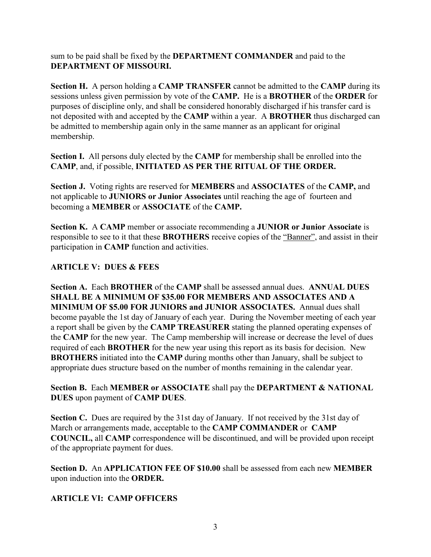sum to be paid shall be fixed by the **DEPARTMENT COMMANDER** and paid to the **DEPARTMENT OF MISSOURI.** 

**Section H.** A person holding a **CAMP TRANSFER** cannot be admitted to the **CAMP** during its sessions unless given permission by vote of the **CAMP.** He is a **BROTHER** of the **ORDER** for purposes of discipline only, and shall be considered honorably discharged if his transfer card is not deposited with and accepted by the **CAMP** within a year. A **BROTHER** thus discharged can be admitted to membership again only in the same manner as an applicant for original membership.

**Section I.** All persons duly elected by the **CAMP** for membership shall be enrolled into the **CAMP**, and, if possible, **INITIATED AS PER THE RITUAL OF THE ORDER.**

**Section J.** Voting rights are reserved for **MEMBERS** and **ASSOCIATES** of the **CAMP,** and not applicable to **JUNIORS or Junior Associates** until reaching the age of fourteen and becoming a **MEMBER** or **ASSOCIATE** of the **CAMP.** 

**Section K.** A **CAMP** member or associate recommending a **JUNIOR or Junior Associate** is responsible to see to it that these **BROTHERS** receive copies of the "Banner", and assist in their participation in **CAMP** function and activities.

# **ARTICLE V: DUES & FEES**

**Section A.** Each **BROTHER** of the **CAMP** shall be assessed annual dues. **ANNUAL DUES SHALL BE A MINIMUM OF \$35.00 FOR MEMBERS AND ASSOCIATES AND A MINIMUM OF \$5.00 FOR JUNIORS and JUNIOR ASSOCIATES.** Annual dues shall become payable the 1st day of January of each year. During the November meeting of each year a report shall be given by the **CAMP TREASURER** stating the planned operating expenses of the **CAMP** for the new year. The Camp membership will increase or decrease the level of dues required of each **BROTHER** for the new year using this report as its basis for decision. New **BROTHERS** initiated into the **CAMP** during months other than January, shall be subject to appropriate dues structure based on the number of months remaining in the calendar year.

#### **Section B.** Each **MEMBER or ASSOCIATE** shall pay the **DEPARTMENT & NATIONAL DUES** upon payment of **CAMP DUES**.

Section C. Dues are required by the 31st day of January. If not received by the 31st day of March or arrangements made, acceptable to the **CAMP COMMANDER** or **CAMP COUNCIL,** all **CAMP** correspondence will be discontinued, and will be provided upon receipt of the appropriate payment for dues.

**Section D.** An **APPLICATION FEE OF \$10.00** shall be assessed from each new **MEMBER** upon induction into the **ORDER.**

# **ARTICLE VI: CAMP OFFICERS**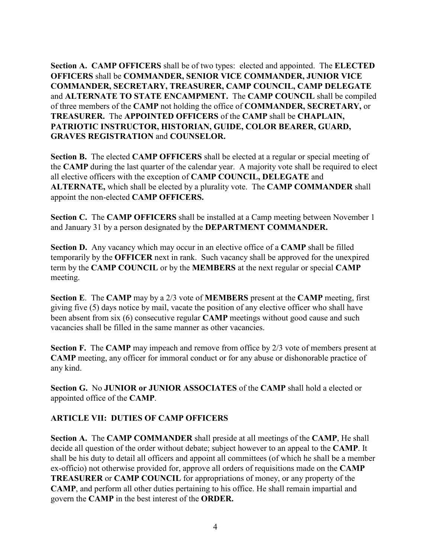**Section A. CAMP OFFICERS** shall be of two types: elected and appointed. The **ELECTED OFFICERS** shall be **COMMANDER, SENIOR VICE COMMANDER, JUNIOR VICE COMMANDER, SECRETARY, TREASURER, CAMP COUNCIL, CAMP DELEGATE**  and **ALTERNATE TO STATE ENCAMPMENT.** The **CAMP COUNCIL** shall be compiled of three members of the **CAMP** not holding the office of **COMMANDER, SECRETARY,** or **TREASURER.** The **APPOINTED OFFICERS** of the **CAMP** shall be **CHAPLAIN, PATRIOTIC INSTRUCTOR, HISTORIAN, GUIDE, COLOR BEARER, GUARD, GRAVES REGISTRATION** and **COUNSELOR.** 

**Section B.** The elected **CAMP OFFICERS** shall be elected at a regular or special meeting of the **CAMP** during the last quarter of the calendar year. A majority vote shall be required to elect all elective officers with the exception of **CAMP COUNCIL, DELEGATE** and **ALTERNATE,** which shall be elected by a plurality vote. The **CAMP COMMANDER** shall appoint the non-elected **CAMP OFFICERS.** 

**Section C.** The **CAMP OFFICERS** shall be installed at a Camp meeting between November 1 and January 31 by a person designated by the **DEPARTMENT COMMANDER.** 

**Section D.** Any vacancy which may occur in an elective office of a **CAMP** shall be filled temporarily by the **OFFICER** next in rank. Such vacancy shall be approved for the unexpired term by the **CAMP COUNCIL** or by the **MEMBERS** at the next regular or special **CAMP**  meeting.

**Section E**. The **CAMP** may by a 2/3 vote of **MEMBERS** present at the **CAMP** meeting, first giving five (5) days notice by mail, vacate the position of any elective officer who shall have been absent from six (6) consecutive regular **CAMP** meetings without good cause and such vacancies shall be filled in the same manner as other vacancies.

**Section F.** The **CAMP** may impeach and remove from office by 2/3 vote of members present at **CAMP** meeting, any officer for immoral conduct or for any abuse or dishonorable practice of any kind.

**Section G.** No **JUNIOR or JUNIOR ASSOCIATES** of the **CAMP** shall hold a elected or appointed office of the **CAMP**.

#### **ARTICLE VII: DUTIES OF CAMP OFFICERS**

**Section A.** The **CAMP COMMANDER** shall preside at all meetings of the **CAMP**, He shall decide all question of the order without debate; subject however to an appeal to the **CAMP**. It shall be his duty to detail all officers and appoint all committees (of which he shall be a member ex-officio) not otherwise provided for, approve all orders of requisitions made on the **CAMP TREASURER** or **CAMP COUNCIL** for appropriations of money, or any property of the **CAMP**, and perform all other duties pertaining to his office. He shall remain impartial and govern the **CAMP** in the best interest of the **ORDER.**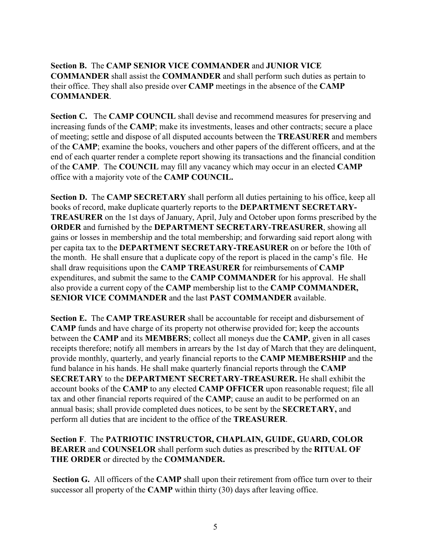# **Section B.** The **CAMP SENIOR VICE COMMANDER** and **JUNIOR VICE COMMANDER** shall assist the **COMMANDER** and shall perform such duties as pertain to their office. They shall also preside over **CAMP** meetings in the absence of the **CAMP COMMANDER**.

**Section C.** The **CAMP COUNCIL** shall devise and recommend measures for preserving and increasing funds of the **CAMP**; make its investments, leases and other contracts; secure a place of meeting; settle and dispose of all disputed accounts between the **TREASURER** and members of the **CAMP**; examine the books, vouchers and other papers of the different officers, and at the end of each quarter render a complete report showing its transactions and the financial condition of the **CAMP**. The **COUNCIL** may fill any vacancy which may occur in an elected **CAMP**  office with a majority vote of the **CAMP COUNCIL.** 

**Section D.** The **CAMP SECRETARY** shall perform all duties pertaining to his office, keep all books of record, make duplicate quarterly reports to the **DEPARTMENT SECRETARY-TREASURER** on the 1st days of January, April, July and October upon forms prescribed by the **ORDER** and furnished by the **DEPARTMENT SECRETARY-TREASURER**, showing all gains or losses in membership and the total membership; and forwarding said report along with per capita tax to the **DEPARTMENT SECRETARY-TREASURER** on or before the 10th of the month. He shall ensure that a duplicate copy of the report is placed in the camp's file. He shall draw requisitions upon the **CAMP TREASURER** for reimbursements of **CAMP** expenditures, and submit the same to the **CAMP COMMANDER** for his approval. He shall also provide a current copy of the **CAMP** membership list to the **CAMP COMMANDER, SENIOR VICE COMMANDER** and the last **PAST COMMANDER** available.

**Section E.** The **CAMP TREASURER** shall be accountable for receipt and disbursement of **CAMP** funds and have charge of its property not otherwise provided for; keep the accounts between the **CAMP** and its **MEMBERS**; collect all moneys due the **CAMP**, given in all cases receipts therefore; notify all members in arrears by the 1st day of March that they are delinquent, provide monthly, quarterly, and yearly financial reports to the **CAMP MEMBERSHIP** and the fund balance in his hands. He shall make quarterly financial reports through the **CAMP SECRETARY** to the **DEPARTMENT SECRETARY-TREASURER.** He shall exhibit the account books of the **CAMP** to any elected **CAMP OFFICER** upon reasonable request; file all tax and other financial reports required of the **CAMP**; cause an audit to be performed on an annual basis; shall provide completed dues notices, to be sent by the **SECRETARY,** and perform all duties that are incident to the office of the **TREASURER**.

**Section F**. The **PATRIOTIC INSTRUCTOR, CHAPLAIN, GUIDE, GUARD, COLOR BEARER** and **COUNSELOR** shall perform such duties as prescribed by the **RITUAL OF THE ORDER** or directed by the **COMMANDER.** 

**Section G.** All officers of the **CAMP** shall upon their retirement from office turn over to their successor all property of the **CAMP** within thirty (30) days after leaving office.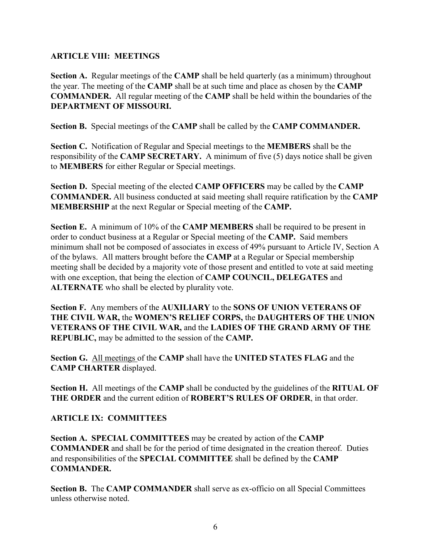#### **ARTICLE VIII: MEETINGS**

**Section A.** Regular meetings of the **CAMP** shall be held quarterly (as a minimum) throughout the year. The meeting of the **CAMP** shall be at such time and place as chosen by the **CAMP COMMANDER.** All regular meeting of the **CAMP** shall be held within the boundaries of the **DEPARTMENT OF MISSOURI.**

**Section B.** Special meetings of the **CAMP** shall be called by the **CAMP COMMANDER.** 

**Section C.** Notification of Regular and Special meetings to the **MEMBERS** shall be the responsibility of the **CAMP SECRETARY.** A minimum of five (5) days notice shall be given to **MEMBERS** for either Regular or Special meetings.

**Section D.** Special meeting of the elected **CAMP OFFICERS** may be called by the **CAMP COMMANDER.** All business conducted at said meeting shall require ratification by the **CAMP MEMBERSHIP** at the next Regular or Special meeting of the **CAMP.** 

**Section E.** A minimum of 10% of the **CAMP MEMBERS** shall be required to be present in order to conduct business at a Regular or Special meeting of the **CAMP.** Said members minimum shall not be composed of associates in excess of 49% pursuant to Article IV, Section A of the bylaws. All matters brought before the **CAMP** at a Regular or Special membership meeting shall be decided by a majority vote of those present and entitled to vote at said meeting with one exception, that being the election of **CAMP COUNCIL, DELEGATES** and **ALTERNATE** who shall be elected by plurality vote.

**Section F.** Any members of the **AUXILIARY** to the **SONS OF UNION VETERANS OF THE CIVIL WAR,** the **WOMEN'S RELIEF CORPS,** the **DAUGHTERS OF THE UNION VETERANS OF THE CIVIL WAR,** and the **LADIES OF THE GRAND ARMY OF THE REPUBLIC,** may be admitted to the session of the **CAMP.** 

**Section G.** All meetings of the **CAMP** shall have the **UNITED STATES FLAG** and the **CAMP CHARTER** displayed.

**Section H.** All meetings of the **CAMP** shall be conducted by the guidelines of the **RITUAL OF THE ORDER** and the current edition of **ROBERT'S RULES OF ORDER**, in that order.

# **ARTICLE IX: COMMITTEES**

**Section A. SPECIAL COMMITTEES** may be created by action of the **CAMP COMMANDER** and shall be for the period of time designated in the creation thereof. Duties and responsibilities of the **SPECIAL COMMITTEE** shall be defined by the **CAMP COMMANDER.** 

**Section B.** The **CAMP COMMANDER** shall serve as ex-officio on all Special Committees unless otherwise noted.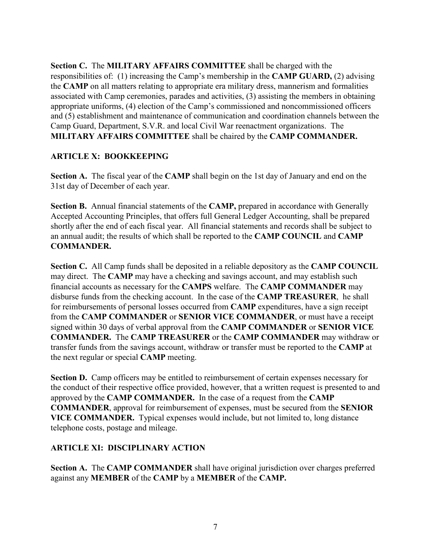**Section C.** The **MILITARY AFFAIRS COMMITTEE** shall be charged with the responsibilities of: (1) increasing the Camp's membership in the **CAMP GUARD,** (2) advising the **CAMP** on all matters relating to appropriate era military dress, mannerism and formalities associated with Camp ceremonies, parades and activities, (3) assisting the members in obtaining appropriate uniforms, (4) election of the Camp's commissioned and noncommissioned officers and (5) establishment and maintenance of communication and coordination channels between the Camp Guard, Department, S.V.R. and local Civil War reenactment organizations. The **MILITARY AFFAIRS COMMITTEE** shall be chaired by the **CAMP COMMANDER.**

#### **ARTICLE X: BOOKKEEPING**

**Section A.** The fiscal year of the **CAMP** shall begin on the 1st day of January and end on the 31st day of December of each year.

**Section B.** Annual financial statements of the **CAMP,** prepared in accordance with Generally Accepted Accounting Principles, that offers full General Ledger Accounting, shall be prepared shortly after the end of each fiscal year. All financial statements and records shall be subject to an annual audit; the results of which shall be reported to the **CAMP COUNCIL** and **CAMP COMMANDER.** 

**Section C.** All Camp funds shall be deposited in a reliable depository as the **CAMP COUNCIL** may direct. The **CAMP** may have a checking and savings account, and may establish such financial accounts as necessary for the **CAMPS** welfare. The **CAMP COMMANDER** may disburse funds from the checking account. In the case of the **CAMP TREASURER**, he shall for reimbursements of personal losses occurred from **CAMP** expenditures, have a sign receipt from the **CAMP COMMANDER** or **SENIOR VICE COMMANDER**, or must have a receipt signed within 30 days of verbal approval from the **CAMP COMMANDER** or **SENIOR VICE COMMANDER.** The **CAMP TREASURER** or the **CAMP COMMANDER** may withdraw or transfer funds from the savings account, withdraw or transfer must be reported to the **CAMP** at the next regular or special **CAMP** meeting.

**Section D.** Camp officers may be entitled to reimbursement of certain expenses necessary for the conduct of their respective office provided, however, that a written request is presented to and approved by the **CAMP COMMANDER.** In the case of a request from the **CAMP COMMANDER**, approval for reimbursement of expenses, must be secured from the **SENIOR VICE COMMANDER.** Typical expenses would include, but not limited to, long distance telephone costs, postage and mileage.

#### **ARTICLE XI: DISCIPLINARY ACTION**

**Section A.** The **CAMP COMMANDER** shall have original jurisdiction over charges preferred against any **MEMBER** of the **CAMP** by a **MEMBER** of the **CAMP.**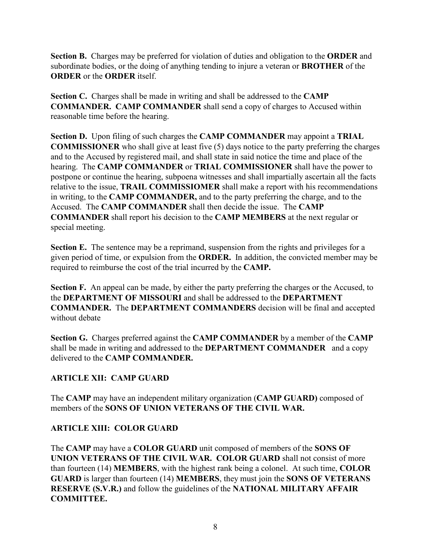**Section B.** Charges may be preferred for violation of duties and obligation to the **ORDER** and subordinate bodies, or the doing of anything tending to injure a veteran or **BROTHER** of the **ORDER** or the **ORDER** itself.

**Section C.** Charges shall be made in writing and shall be addressed to the **CAMP COMMANDER. CAMP COMMANDER** shall send a copy of charges to Accused within reasonable time before the hearing.

**Section D.** Upon filing of such charges the **CAMP COMMANDER** may appoint a **TRIAL COMMISSIONER** who shall give at least five (5) days notice to the party preferring the charges and to the Accused by registered mail, and shall state in said notice the time and place of the hearing. The **CAMP COMMANDER** or **TRIAL COMMISSIONER** shall have the power to postpone or continue the hearing, subpoena witnesses and shall impartially ascertain all the facts relative to the issue, **TRAIL COMMISSIOMER** shall make a report with his recommendations in writing, to the **CAMP COMMANDER,** and to the party preferring the charge, and to the Accused. The **CAMP COMMANDER** shall then decide the issue. The **CAMP COMMANDER** shall report his decision to the **CAMP MEMBERS** at the next regular or special meeting.

**Section E.** The sentence may be a reprimand, suspension from the rights and privileges for a given period of time, or expulsion from the **ORDER.** In addition, the convicted member may be required to reimburse the cost of the trial incurred by the **CAMP.** 

**Section F.** An appeal can be made, by either the party preferring the charges or the Accused, to the **DEPARTMENT OF MISSOURI** and shall be addressed to the **DEPARTMENT COMMANDER.** The **DEPARTMENT COMMANDERS** decision will be final and accepted without debate

**Section G.** Charges preferred against the **CAMP COMMANDER** by a member of the **CAMP** shall be made in writing and addressed to the **DEPARTMENT COMMANDER** and a copy delivered to the **CAMP COMMANDER.**

# **ARTICLE XII: CAMP GUARD**

The **CAMP** may have an independent military organization (**CAMP GUARD)** composed of members of the **SONS OF UNION VETERANS OF THE CIVIL WAR.** 

# **ARTICLE XIII: COLOR GUARD**

The **CAMP** may have a **COLOR GUARD** unit composed of members of the **SONS OF UNION VETERANS OF THE CIVIL WAR. COLOR GUARD** shall not consist of more than fourteen (14) **MEMBERS**, with the highest rank being a colonel. At such time, **COLOR GUARD** is larger than fourteen (14) **MEMBERS**, they must join the **SONS OF VETERANS RESERVE (S.V.R.)** and follow the guidelines of the **NATIONAL MILITARY AFFAIR COMMITTEE.**